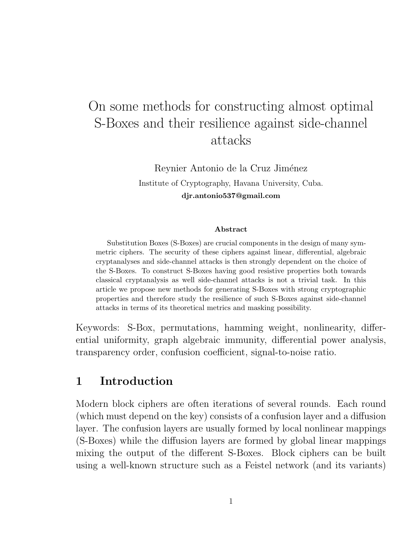# On some methods for constructing almost optimal S-Boxes and their resilience against side-channel attacks

Reynier Antonio de la Cruz Jiménez Institute of Cryptography, Havana University, Cuba. djr.antonio537@gmail.com

#### Abstract

Substitution Boxes (S-Boxes) are crucial components in the design of many symmetric ciphers. The security of these ciphers against linear, differential, algebraic cryptanalyses and side-channel attacks is then strongly dependent on the choice of the S-Boxes. To construct S-Boxes having good resistive properties both towards classical cryptanalysis as well side-channel attacks is not a trivial task. In this article we propose new methods for generating S-Boxes with strong cryptographic properties and therefore study the resilience of such S-Boxes against side-channel attacks in terms of its theoretical metrics and masking possibility.

Keywords: S-Box, permutations, hamming weight, nonlinearity, differential uniformity, graph algebraic immunity, differential power analysis, transparency order, confusion coefficient, signal-to-noise ratio.

## 1 Introduction

Modern block ciphers are often iterations of several rounds. Each round (which must depend on the key) consists of a confusion layer and a diffusion layer. The confusion layers are usually formed by local nonlinear mappings (S-Boxes) while the diffusion layers are formed by global linear mappings mixing the output of the different S-Boxes. Block ciphers can be built using a well-known structure such as a Feistel network (and its variants)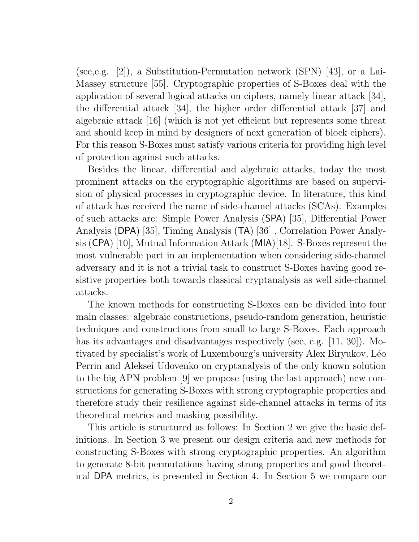(see,e.g. [2]), a Substitution-Permutation network (SPN) [43], or a Lai-Massey structure [55]. Cryptographic properties of S-Boxes deal with the application of several logical attacks on ciphers, namely linear attack [34], the differential attack [34], the higher order differential attack [37] and algebraic attack [16] (which is not yet efficient but represents some threat and should keep in mind by designers of next generation of block ciphers). For this reason S-Boxes must satisfy various criteria for providing high level of protection against such attacks.

Besides the linear, differential and algebraic attacks, today the most prominent attacks on the cryptographic algorithms are based on supervision of physical processes in cryptographic device. In literature, this kind of attack has received the name of side-channel attacks (SCAs). Examples of such attacks are: Simple Power Analysis (SPA) [35], Differential Power Analysis (DPA) [35], Timing Analysis (TA) [36] , Correlation Power Analysis (CPA) [10], Mutual Information Attack (MIA)[18]. S-Boxes represent the most vulnerable part in an implementation when considering side-channel adversary and it is not a trivial task to construct S-Boxes having good resistive properties both towards classical cryptanalysis as well side-channel attacks.

The known methods for constructing S-Boxes can be divided into four main classes: algebraic constructions, pseudo-random generation, heuristic techniques and constructions from small to large S-Boxes. Each approach has its advantages and disadvantages respectively (see, e.g. [11, 30]). Motivated by specialist's work of Luxembourg's university Alex Biryukov, L´eo Perrin and Aleksei Udovenko on cryptanalysis of the only known solution to the big APN problem [9] we propose (using the last approach) new constructions for generating S-Boxes with strong cryptographic properties and therefore study their resilience against side-channel attacks in terms of its theoretical metrics and masking possibility.

This article is structured as follows: In Section 2 we give the basic definitions. In Section 3 we present our design criteria and new methods for constructing S-Boxes with strong cryptographic properties. An algorithm to generate 8-bit permutations having strong properties and good theoretical DPA metrics, is presented in Section 4. In Section 5 we compare our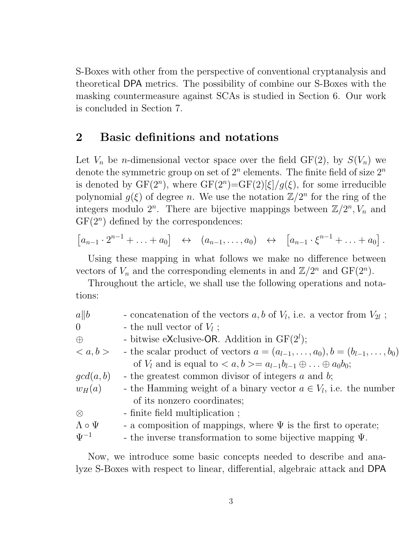S-Boxes with other from the perspective of conventional cryptanalysis and theoretical DPA metrics. The possibility of combine our S-Boxes with the masking countermeasure against SCAs is studied in Section 6. Our work is concluded in Section 7.

### 2 Basic definitions and notations

Let  $V_n$  be *n*-dimensional vector space over the field GF(2), by  $S(V_n)$  we denote the symmetric group on set of  $2^n$  elements. The finite field of size  $2^n$ is denoted by  $GF(2^n)$ , where  $GF(2^n) = GF(2)[\xi]/g(\xi)$ , for some irreducible polynomial  $g(\xi)$  of degree *n*. We use the notation  $\mathbb{Z}/2^n$  for the ring of the integers modulo  $2^n$ . There are bijective mappings between  $\mathbb{Z}/2^n$ ,  $V_n$  and  $GF(2<sup>n</sup>)$  defined by the correspondences:

$$
\begin{bmatrix} a_{n-1} \cdot 2^{n-1} + \ldots + a_0 \end{bmatrix} \leftrightarrow (a_{n-1}, \ldots, a_0) \leftrightarrow [a_{n-1} \cdot \xi^{n-1} + \ldots + a_0].
$$

Using these mapping in what follows we make no difference between vectors of  $V_n$  and the corresponding elements in and  $\mathbb{Z}/2^n$  and  $GF(2^n)$ .

Throughout the article, we shall use the following operations and notations:

| a  b                 | - concatenation of the vectors $a, b$ of $V_l$ , i.e. a vector from $V_{2l}$ ;             |
|----------------------|--------------------------------------------------------------------------------------------|
| $\overline{0}$       | - the null vector of $V_l$ ;                                                               |
| $\bigoplus$          | - bitwise eXclusive-OR. Addition in $GF(2^l)$ ;                                            |
| $\langle a,b\rangle$ | - the scalar product of vectors $a = (a_{l-1}, \ldots, a_0), b = (b_{l-1}, \ldots, b_0)$   |
|                      | of $V_l$ and is equal to $\langle a,b\rangle = a_{l-1}b_{l-1}\oplus \ldots \oplus a_0b_0;$ |
| gcd(a, b)            | - the greatest common divisor of integers $a$ and $b$ ;                                    |
| $w_H(a)$             | - the Hamming weight of a binary vector $a \in V_l$ , i.e. the number                      |
|                      | of its nonzero coordinates;                                                                |
| $\otimes$            | - finite field multiplication;                                                             |
| $\Lambda \circ \Psi$ | - a composition of mappings, where $\Psi$ is the first to operate;                         |
| $\Psi^{-1}$          | - the inverse transformation to some bijective mapping $\Psi$ .                            |

Now, we introduce some basic concepts needed to describe and analyze S-Boxes with respect to linear, differential, algebraic attack and DPA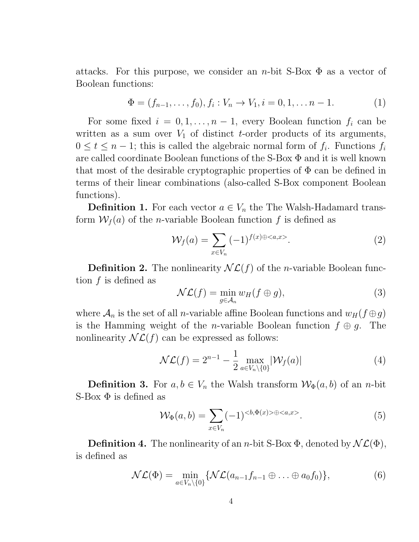attacks. For this purpose, we consider an *n*-bit S-Box  $\Phi$  as a vector of Boolean functions:

$$
\Phi = (f_{n-1}, \dots, f_0), f_i : V_n \to V_1, i = 0, 1, \dots n-1.
$$
 (1)

For some fixed  $i = 0, 1, \ldots, n-1$ , every Boolean function  $f_i$  can be written as a sum over  $V_1$  of distinct t-order products of its arguments,  $0 \leq t \leq n-1$ ; this is called the algebraic normal form of  $f_i$ . Functions  $f_i$ are called coordinate Boolean functions of the S-Box Φ and it is well known that most of the desirable cryptographic properties of  $\Phi$  can be defined in terms of their linear combinations (also-called S-Box component Boolean functions).

**Definition 1.** For each vector  $a \in V_n$  the The Walsh-Hadamard transform  $W_f(a)$  of the *n*-variable Boolean function f is defined as

$$
\mathcal{W}_f(a) = \sum_{x \in V_n} (-1)^{f(x) \oplus \langle a, x \rangle}.
$$
 (2)

**Definition 2.** The nonlinearity  $\mathcal{NL}(f)$  of the *n*-variable Boolean function  $f$  is defined as

$$
\mathcal{NL}(f) = \min_{g \in \mathcal{A}_n} w_H(f \oplus g),\tag{3}
$$

where  $\mathcal{A}_n$  is the set of all *n*-variable affine Boolean functions and  $w_H(f \oplus g)$ is the Hamming weight of the *n*-variable Boolean function  $f \oplus g$ . The nonlinearity  $\mathcal{NL}(f)$  can be expressed as follows:

$$
\mathcal{NL}(f) = 2^{n-1} - \frac{1}{2} \max_{a \in V_n \setminus \{0\}} |\mathcal{W}_f(a)| \tag{4}
$$

**Definition 3.** For  $a, b \in V_n$  the Walsh transform  $\mathcal{W}_{\Phi}(a, b)$  of an *n*-bit S-Box  $\Phi$  is defined as

$$
\mathcal{W}_{\Phi}(a,b) = \sum_{x \in V_n} (-1)^{\langle b, \Phi(x) \rangle \oplus \langle a, x \rangle}.
$$
 (5)

**Definition 4.** The nonlinearity of an *n*-bit S-Box  $\Phi$ , denoted by  $\mathcal{NL}(\Phi)$ , is defined as

$$
\mathcal{NL}(\Phi) = \min_{a \in V_n \setminus \{0\}} \{ \mathcal{NL}(a_{n-1}f_{n-1} \oplus \ldots \oplus a_0f_0) \},\tag{6}
$$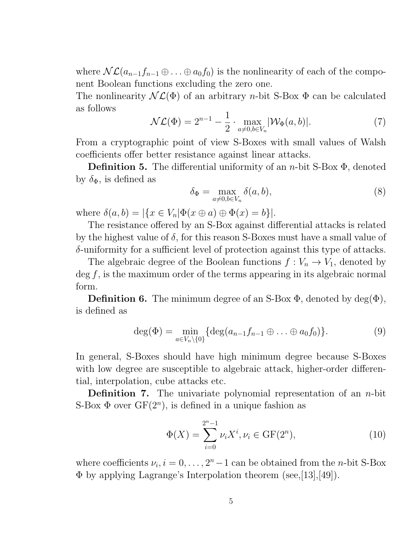where  $\mathcal{NL}(a_{n-1}f_{n-1}\oplus \ldots \oplus a_0f_0)$  is the nonlinearity of each of the component Boolean functions excluding the zero one.

The nonlinearity  $\mathcal{NL}(\Phi)$  of an arbitrary *n*-bit S-Box  $\Phi$  can be calculated as follows

$$
\mathcal{NL}(\Phi) = 2^{n-1} - \frac{1}{2} \cdot \max_{a \neq 0, b \in V_n} |\mathcal{W}_{\Phi}(a, b)|. \tag{7}
$$

From a cryptographic point of view S-Boxes with small values of Walsh coefficients offer better resistance against linear attacks.

**Definition 5.** The differential uniformity of an *n*-bit S-Box  $\Phi$ , denoted by  $\delta_{\Phi}$ , is defined as

$$
\delta_{\Phi} = \max_{a \neq 0, b \in V_n} \delta(a, b), \tag{8}
$$

where  $\delta(a, b) = |\{x \in V_n | \Phi(x \oplus a) \oplus \Phi(x) = b\}|.$ 

The resistance offered by an S-Box against differential attacks is related by the highest value of  $\delta$ , for this reason S-Boxes must have a small value of δ-uniformity for a sufficient level of protection against this type of attacks.

The algebraic degree of the Boolean functions  $f: V_n \to V_1$ , denoted by  $\deg f$ , is the maximum order of the terms appearing in its algebraic normal form.

**Definition 6.** The minimum degree of an S-Box  $\Phi$ , denoted by deg( $\Phi$ ), is defined as

$$
\deg(\Phi) = \min_{a \in V_n \setminus \{0\}} \{ \deg(a_{n-1}f_{n-1} \oplus \ldots \oplus a_0f_0) \}.
$$
 (9)

In general, S-Boxes should have high minimum degree because S-Boxes with low degree are susceptible to algebraic attack, higher-order differential, interpolation, cube attacks etc.

**Definition 7.** The univariate polynomial representation of an  $n$ -bit S-Box  $\Phi$  over  $GF(2^n)$ , is defined in a unique fashion as

$$
\Phi(X) = \sum_{i=0}^{2^n - 1} \nu_i X^i, \nu_i \in \text{GF}(2^n),\tag{10}
$$

where coefficients  $\nu_i, i = 0, \ldots, 2<sup>n</sup> - 1$  can be obtained from the *n*-bit S-Box Φ by applying Lagrange's Interpolation theorem (see,[13],[49]).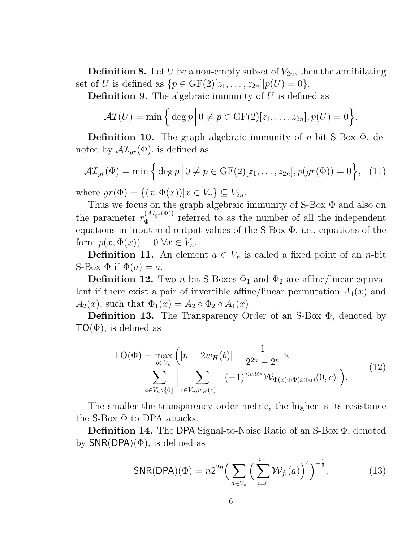**Definition 8.** Let U be a non-empty subset of  $V_{2n}$ , then the annihilating set of U is defined as  $\{p \in \text{GF}(2)[z_1, ..., z_{2n}]|p(U) = 0\}.$ 

**Definition 9.** The algebraic immunity of  $U$  is defined as

$$
\mathcal{AI}(U) = \min\Big\{\deg p \Big| 0 \neq p \in \mathrm{GF}(2)[z_1,\ldots,z_{2n}], p(U) = 0 \Big\}.
$$

**Definition 10.** The graph algebraic immunity of *n*-bit S-Box  $\Phi$ , denoted by  $\mathcal{AI}_{qr}(\Phi)$ , is defined as

$$
\mathcal{AI}_{gr}(\Phi) = \min\left\{\deg p \Big| 0 \neq p \in \mathrm{GF}(2)[z_1,\ldots,z_{2n}], p(gr(\Phi)) = 0\right\}, \quad (11)
$$

where  $gr(\Phi) = \{(x, \Phi(x)) | x \in V_n\} \subseteq V_{2n}$ .

Thus we focus on the graph algebraic immunity of S-Box  $\Phi$  and also on the parameter  $r_{\Phi}^{(AI_{gr}(\Phi))}$  $\Phi_{\Phi}^{(A1_{gr}(\Psi))}$  referred to as the number of all the independent equations in input and output values of the S-Box  $\Phi$ , i.e., equations of the form  $p(x, \Phi(x)) = 0 \,\forall x \in V_n$ .

**Definition 11.** An element  $a \in V_n$  is called a fixed point of an *n*-bit S-Box  $\Phi$  if  $\Phi(a) = a$ .

**Definition 12.** Two *n*-bit S-Boxes  $\Phi_1$  and  $\Phi_2$  are affine/linear equivalent if there exist a pair of invertible affine/linear permutation  $A_1(x)$  and  $A_2(x)$ , such that  $\Phi_1(x) = A_2 \circ \Phi_2 \circ A_1(x)$ .

Definition 13. The Transparency Order of an S-Box Φ, denoted by  $TO(\Phi)$ , is defined as

$$
TO(\Phi) = \max_{b \in V_n} \left( |n - 2w_H(b)| - \frac{1}{2^{2n} - 2^n} \times \sum_{a \in V_n \setminus \{0\}} \left| \sum_{c \in V_n, w_H(c) = 1} (-1)^{< c, b>} \mathcal{W}_{\Phi(x) \oplus \Phi(x \oplus a)}(0, c) \right| \right). \tag{12}
$$

The smaller the transparency order metric, the higher is its resistance the S-Box  $\Phi$  to DPA attacks.

Definition 14. The DPA Signal-to-Noise Ratio of an S-Box Φ, denoted by  $SNR(DPA)(\Phi)$ , is defined as

$$
SNR(DPA)(\Phi) = n2^{2n} \Big( \sum_{a \in V_n} \Big( \sum_{i=0}^{n-1} \mathcal{W}_{f_i}(a) \Big)^4 \Big)^{-\frac{1}{2}}, \tag{13}
$$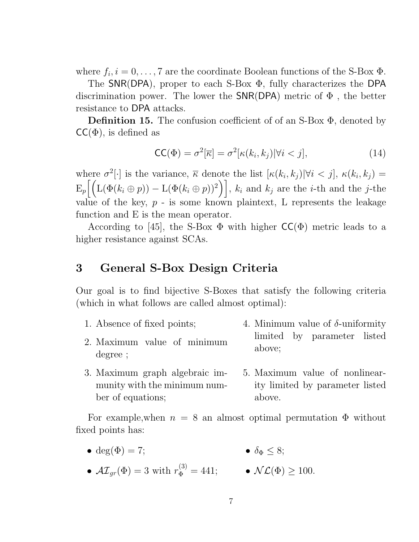where  $f_i, i = 0, \ldots, 7$  are the coordinate Boolean functions of the S-Box  $\Phi$ .

The SNR(DPA), proper to each S-Box Φ, fully characterizes the DPA discrimination power. The lower the  $SNR(DPA)$  metric of  $\Phi$ , the better resistance to DPA attacks.

**Definition 15.** The confusion coefficient of of an S-Box  $\Phi$ , denoted by  $\mathsf{CC}(\Phi)$ , is defined as

$$
\mathsf{CC}(\Phi) = \sigma^2[\overline{\kappa}] = \sigma^2[\kappa(k_i, k_j)| \forall i < j],\tag{14}
$$

where  $\sigma^2[\cdot]$  is the variance,  $\overline{\kappa}$  denote the list  $[\kappa(k_i, k_j)|\forall i < j], \kappa(k_i, k_j) =$  $\mathbb{E}_{p}\left[\left(\mathcal{L}(\Phi(k_i \oplus p)) - \mathcal{L}(\Phi(k_i \oplus p))^2\right)\right], k_i \text{ and } k_j \text{ are the } i\text{-th and the } j\text{-the } i$ value of the key,  $p -$  is some known plaintext, L represents the leakage function and E is the mean operator.

According to [45], the S-Box  $\Phi$  with higher  $\mathsf{CC}(\Phi)$  metric leads to a higher resistance against SCAs.

## 3 General S-Box Design Criteria

Our goal is to find bijective S-Boxes that satisfy the following criteria (which in what follows are called almost optimal):

- 1. Absence of fixed points; 2. Maximum value of minimum degree ; 4. Minimum value of  $\delta$ -uniformity limited by parameter listed above;
- 3. Maximum graph algebraic immunity with the minimum number of equations; 5. Maximum value of nonlinearity limited by parameter listed above.

For example, when  $n = 8$  an almost optimal permutation  $\Phi$  without fixed points has:

- deg( $\Phi$ ) = 7; •  $\delta_{\Phi} \leq 8$ ;
- $\mathcal{AI}_{gr}(\Phi) = 3$  with  $r_{\Phi}^{(3)} = 441;$   $\mathcal{NL}(\Phi) \ge 100.$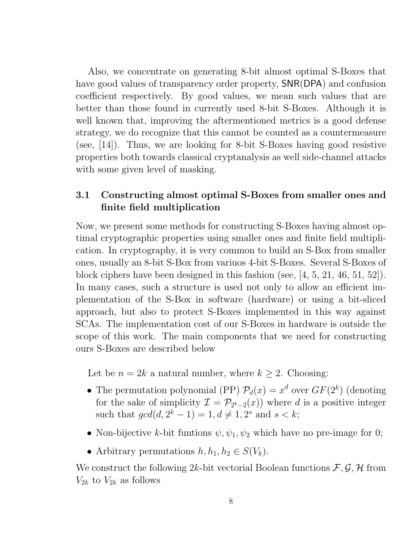Also, we concentrate on generating 8-bit almost optimal S-Boxes that have good values of transparency order property, SNR(DPA) and confusion coefficient respectively. By good values, we mean such values that are better than those found in currently used 8-bit S-Boxes. Although it is well known that, improving the aftermentioned metrics is a good defense strategy, we do recognize that this cannot be counted as a countermeasure (see, [14]). Thus, we are looking for 8-bit S-Boxes having good resistive properties both towards classical cryptanalysis as well side-channel attacks with some given level of masking.

#### 3.1 Constructing almost optimal S-Boxes from smaller ones and finite field multiplication

Now, we present some methods for constructing S-Boxes having almost optimal cryptographic properties using smaller ones and finite field multiplication. In cryptography, it is very common to build an S-Box from smaller ones, usually an 8-bit S-Box from variuos 4-bit S-Boxes. Several S-Boxes of block ciphers have been designed in this fashion (see, [4, 5, 21, 46, 51, 52]). In many cases, such a structure is used not only to allow an efficient implementation of the S-Box in software (hardware) or using a bit-sliced approach, but also to protect S-Boxes implemented in this way against SCAs. The implementation cost of our S-Boxes in hardware is outside the scope of this work. The main components that we need for constructing ours S-Boxes are described below

Let be  $n = 2k$  a natural number, where  $k \geq 2$ . Choosing:

- The permutation polynomial (PP)  $\mathcal{P}_d(x) = x^d$  over  $GF(2^k)$  (denoting for the sake of simplicity  $\mathcal{I} = \mathcal{P}_{2^k-2}(x)$  where d is a positive integer such that  $gcd(d, 2^k - 1) = 1, d \neq 1, 2^s \text{ and } s < k;$
- Non-bijective k-bit funtions  $\psi, \psi_1, \psi_2$  which have no pre-image for 0;
- Arbitrary permutations  $h, h_1, h_2 \in S(V_k)$ .

We construct the following 2k-bit vectorial Boolean functions  $\mathcal{F}, \mathcal{G}, \mathcal{H}$  from  $V_{2k}$  to  $V_{2k}$  as follows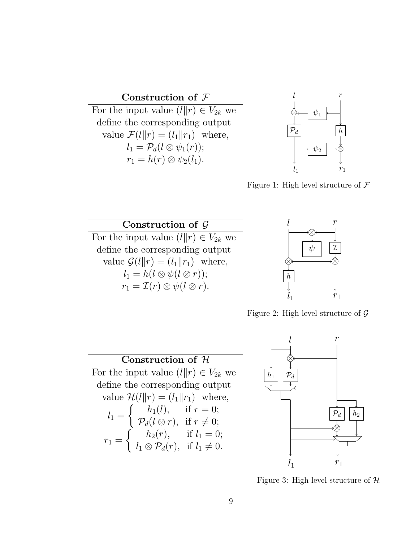#### Construction of F

For the input value  $(l||r) \in V_{2k}$  we define the corresponding output value  $\mathcal{F}(l||r) = (l_1||r_1)$  where,  $l_1 = \mathcal{P}_d(l \otimes \psi_1(r));$  $r_1 = h(r) \otimes \psi_2(l_1).$ 



Figure 1: High level structure of  $\mathcal F$ 





Figure 2: High level structure of  $\mathcal G$ 

## Construction of H

For the input value  $(l||r) \in V_{2k}$  we define the corresponding output value  $\mathcal{H}(l||r) = (l_1||r_1)$  where,  $l_1 =$  $\int h_1(l)$ , if  $r = 0$ ;  $\mathcal{P}_d(l\otimes r)$ , if  $r\neq 0;$  $r_1 =$  $\int h_2(r)$ , if  $l_1 = 0$ ;  $l_1 \otimes \mathcal{P}_d(r)$ , if  $l_1 \neq 0$ .



Figure 3: High level structure of  $H$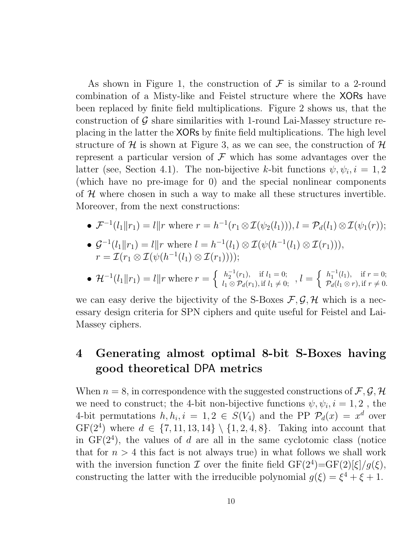As shown in Figure 1, the construction of  $\mathcal F$  is similar to a 2-round combination of a Misty-like and Feistel structure where the XORs have been replaced by finite field multiplications. Figure 2 shows us, that the construction of  $\mathcal G$  share similarities with 1-round Lai-Massey structure replacing in the latter the XORs by finite field multiplications. The high level structure of H is shown at Figure 3, as we can see, the construction of  $H$ represent a particular version of  $\mathcal F$  which has some advantages over the latter (see, Section 4.1). The non-bijective k-bit functions  $\psi, \psi_i, i = 1, 2$ (which have no pre-image for 0) and the special nonlinear components of  $H$  where chosen in such a way to make all these structures invertible. Moreover, from the next constructions:

• 
$$
\mathcal{F}^{-1}(l_1||r_1) = l||r
$$
 where  $r = h^{-1}(r_1 \otimes \mathcal{I}(\psi_2(l_1))), l = \mathcal{P}_d(l_1) \otimes \mathcal{I}(\psi_1(r));$ 

• 
$$
\mathcal{G}^{-1}(l_1||r_1) = l||r \text{ where } l = h^{-1}(l_1) \otimes \mathcal{I}(\psi(h^{-1}(l_1) \otimes \mathcal{I}(r_1))),
$$
  

$$
r = \mathcal{I}(r_1 \otimes \mathcal{I}(\psi(h^{-1}(l_1) \otimes \mathcal{I}(r_1))));
$$

• 
$$
\mathcal{H}^{-1}(l_1||r_1) = l||r
$$
 where  $r = \begin{cases} h_2^{-1}(r_1), & \text{if } l_1 = 0; \\ l_1 \otimes \mathcal{P}_d(r_1), & \text{if } l_1 \neq 0; \end{cases}$ ,  $l = \begin{cases} h_1^{-1}(l_1), & \text{if } r = 0; \\ \mathcal{P}_d(l_1 \otimes r), & \text{if } r \neq 0. \end{cases}$ 

we can easy derive the bijectivity of the S-Boxes  $\mathcal{F}, \mathcal{G}, \mathcal{H}$  which is a necessary design criteria for SPN ciphers and quite useful for Feistel and Lai-Massey ciphers.

## 4 Generating almost optimal 8-bit S-Boxes having good theoretical DPA metrics

When  $n = 8$ , in correspondence with the suggested constructions of  $\mathcal{F}, \mathcal{G}, \mathcal{H}$ we need to construct; the 4-bit non-bijective functions  $\psi, \psi_i, i = 1, 2$ , the 4-bit permutations  $h, h_i, i = 1, 2 \in S(V_4)$  and the PP  $\mathcal{P}_d(x) = x^d$  over  $GF(2^4)$  where  $d \in \{7, 11, 13, 14\} \setminus \{1, 2, 4, 8\}$ . Taking into account that in  $GF(2<sup>4</sup>)$ , the values of d are all in the same cyclotomic class (notice that for  $n > 4$  this fact is not always true) in what follows we shall work with the inversion function  $\mathcal I$  over the finite field  $GF(2^4) = GF(2)[\xi]/g(\xi)$ , constructing the latter with the irreducible polynomial  $g(\xi) = \xi^4 + \xi + 1$ .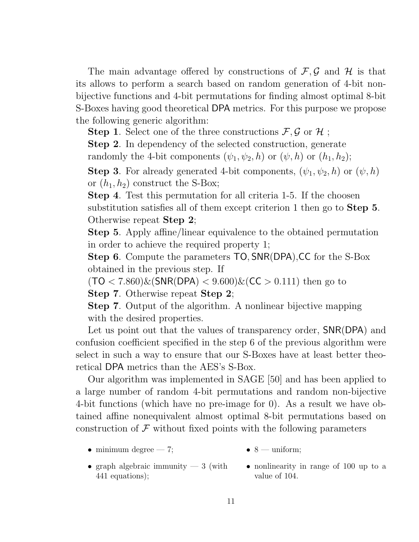The main advantage offered by constructions of  $\mathcal{F}, \mathcal{G}$  and  $\mathcal{H}$  is that its allows to perform a search based on random generation of 4-bit nonbijective functions and 4-bit permutations for finding almost optimal 8-bit S-Boxes having good theoretical DPA metrics. For this purpose we propose the following generic algorithm:

**Step 1.** Select one of the three constructions  $\mathcal{F}, \mathcal{G}$  or  $\mathcal{H}$ ;

Step 2. In dependency of the selected construction, generate randomly the 4-bit components  $(\psi_1, \psi_2, h)$  or  $(\psi, h)$  or  $(h_1, h_2)$ ;

**Step 3.** For already generated 4-bit components,  $(\psi_1, \psi_2, h)$  or  $(\psi, h)$ or  $(h_1, h_2)$  construct the S-Box;

Step 4. Test this permutation for all criteria 1-5. If the choosen substitution satisfies all of them except criterion 1 then go to Step 5. Otherwise repeat Step 2;

Step 5. Apply affine/linear equivalence to the obtained permutation in order to achieve the required property 1;

Step 6. Compute the parameters TO, SNR(DPA), CC for the S-Box obtained in the previous step. If

 $(TO < 7.860) \& (SNR(DPA) < 9.600) \& (CC > 0.111)$  then go to

Step 7. Otherwise repeat Step 2;

Step 7. Output of the algorithm. A nonlinear bijective mapping with the desired properties.

Let us point out that the values of transparency order, SNR(DPA) and confusion coefficient specified in the step 6 of the previous algorithm were select in such a way to ensure that our S-Boxes have at least better theoretical DPA metrics than the AES's S-Box.

Our algorithm was implemented in SAGE [50] and has been applied to a large number of random 4-bit permutations and random non-bijective 4-bit functions (which have no pre-image for 0). As a result we have obtained affine nonequivalent almost optimal 8-bit permutations based on construction of  $\mathcal F$  without fixed points with the following parameters

• minimum degree  $-7$ ;

- $\bullet$  8 uniform;
- graph algebraic immunity  $-3$  (with 441 equations);
	- nonlinearity in range of 100 up to a value of 104.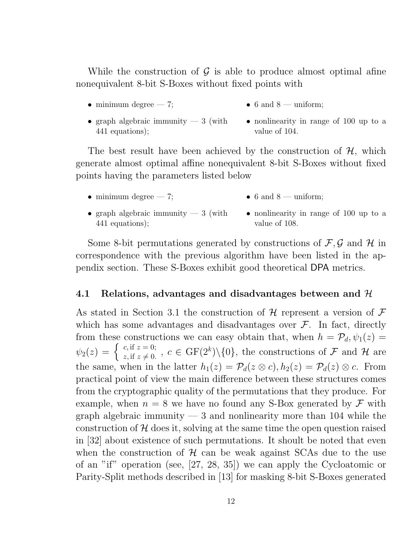While the construction of  $\mathcal G$  is able to produce almost optimal afine nonequivalent 8-bit S-Boxes without fixed points with

• minimum degree  $-7$ ;

- $\bullet$  6 and 8 uniform;
- graph algebraic immunity  $-3$  (with 441 equations); • nonlinearity in range of 100 up to a value of 104.

The best result have been achieved by the construction of  $H$ , which generate almost optimal affine nonequivalent 8-bit S-Boxes without fixed points having the parameters listed below

- minimum degree  $-7$ ; • 6 and  $8 -$  uniform;
- graph algebraic immunity  $-3$  (with 441 equations); • nonlinearity in range of 100 up to a value of 108.

Some 8-bit permutations generated by constructions of  $\mathcal{F}, \mathcal{G}$  and  $\mathcal{H}$  in correspondence with the previous algorithm have been listed in the appendix section. These S-Boxes exhibit good theoretical DPA metrics.

#### 4.1 Relations, advantages and disadvantages between and  $\mathcal{H}$

As stated in Section 3.1 the construction of  $\mathcal H$  represent a version of  $\mathcal F$ which has some advantages and disadvantages over  $\mathcal{F}$ . In fact, directly from these constructions we can easy obtain that, when  $h = \mathcal{P}_d, \psi_1(z) =$  $\psi_2(z) = \begin{cases} c, \text{if } z = 0; \ z, \text{if } z \neq 0. \end{cases}$ ,  $c \in \text{GF}(2^k) \setminus \{0\}$ , the constructions of  $\mathcal F$  and  $\mathcal H$  are the same, when in the latter  $h_1(z) = \mathcal{P}_d(z \otimes c), h_2(z) = \mathcal{P}_d(z) \otimes c$ . From practical point of view the main difference between these structures comes from the cryptographic quality of the permutations that they produce. For example, when  $n = 8$  we have no found any S-Box generated by  $\mathcal F$  with graph algebraic immunity  $-3$  and nonlinearity more than 104 while the construction of  $H$  does it, solving at the same time the open question raised in [32] about existence of such permutations. It shoult be noted that even when the construction of  $H$  can be weak against SCAs due to the use of an "if" operation (see, [27, 28, 35]) we can apply the Cycloatomic or Parity-Split methods described in [13] for masking 8-bit S-Boxes generated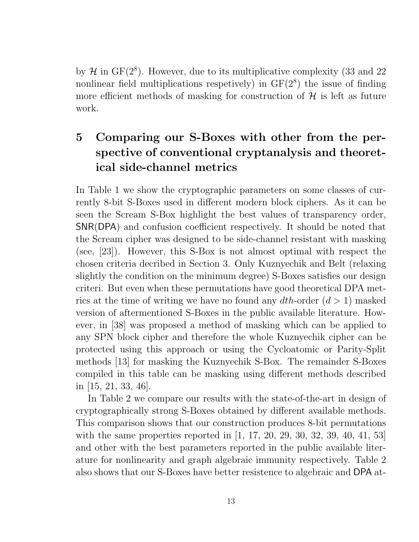by  $\mathcal H$  in GF( $2^8$ ). However, due to its multiplicative complexity (33 and 22 nonlinear field multiplications respetively) in  $GF(2<sup>8</sup>)$  the issue of finding more efficient methods of masking for construction of  $\mathcal H$  is left as future work.

## 5 Comparing our S-Boxes with other from the perspective of conventional cryptanalysis and theoretical side-channel metrics

In Table 1 we show the cryptographic parameters on some classes of currently 8-bit S-Boxes used in different modern block ciphers. As it can be seen the Scream S-Box highlight the best values of transparency order, SNR(DPA) and confusion coefficient respectively. It should be noted that the Scream cipher was designed to be side-channel resistant with masking (see, [23]). However, this S-Box is not almost optimal with respect the chosen criteria decribed in Section 3. Only Kuznyechik and Belt (relaxing slightly the condition on the minimum degree) S-Boxes satisfies our design criteri. But even when these permutations have good theoretical DPA metrics at the time of writing we have no found any  $dth$ -order  $(d > 1)$  masked version of aftermentioned S-Boxes in the public available literature. However, in [38] was proposed a method of masking which can be applied to any SPN block cipher and therefore the whole Kuznyechik cipher can be protected using this approach or using the Cycloatomic or Parity-Split methods [13] for masking the Kuznyechik S-Box. The remainder S-Boxes compiled in this table can be masking using different methods described in [15, 21, 33, 46].

In Table 2 we compare our results with the state-of-the-art in design of cryptographically strong S-Boxes obtained by different available methods. This comparison shows that our construction produces 8-bit permutations with the same properties reported in [1, 17, 20, 29, 30, 32, 39, 40, 41, 53] and other with the best parameters reported in the public available literature for nonlinearity and graph algebraic immunity respectively. Table 2 also shows that our S-Boxes have better resistence to algebraic and DPA at-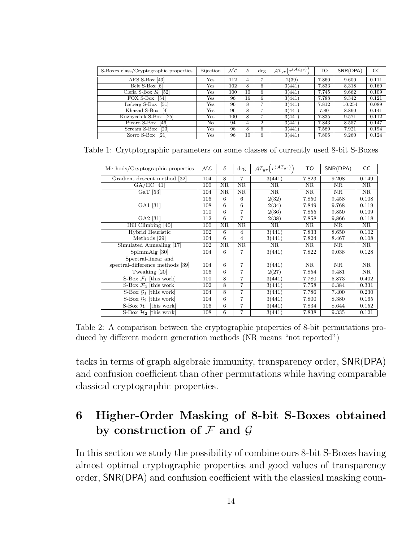| S-Boxes class/Cryptographic properties | Bijection            | NL  |    | deg            | $\mathcal{AI}_{gr}\left(r^{(\mathcal{AI}_{gr})}\right)$ | TO    | SNR(DPA) | CC    |
|----------------------------------------|----------------------|-----|----|----------------|---------------------------------------------------------|-------|----------|-------|
| AES S-Box $[43]$                       | $\operatorname{Yes}$ | 112 | 4  |                | 2(39)                                                   | 7.860 | 9.600    | 0.111 |
| Belt S-Box [6]                         | Yes                  | 102 | 8  | 6              | 3(441)                                                  | 7.833 | 8.318    | 0.169 |
| Clefia S-Box $S_0$ [52]                | Yes                  | 100 | 10 | 6              | 3(441)                                                  | 7.745 | 9.662    | 0.109 |
| FOX S-Box<br>[54]                      | Yes                  | 96  | 16 | 6              | 3(441)                                                  | 7.788 | 9.342    | 0.121 |
| Iceberg $S-Box$ [51]                   | $\operatorname{Yes}$ | 96  | 8  | $\overline{ }$ | 3(441)                                                  | 7.812 | 10.254   | 0.089 |
| Khazad S-Box<br>$\lceil 4 \rceil$      | Yes                  | 96  | 8  | $\overline{ }$ | 3(441)                                                  | 7.80  | 8.860    | 0.141 |
| Kuznyechik S-Box<br>$\lceil 25 \rceil$ | Yes                  | 100 | 8  |                | 3(441)                                                  | 7.835 | 9.571    | 0.112 |
| Picaro S-Box<br>[46]                   | No                   | 94  | 4  | $\overline{2}$ | 3(441)                                                  | 7.843 | 8.557    | 0.147 |
| Scream S-Box<br>$\left[23\right]$      | Yes                  | 96  | 8  | 6              | 3(441)                                                  | 7.589 | 7.921    | 0.194 |
| Zorro S-Box [21]                       | Yes                  | 96  | 10 | 6              | 3(441)                                                  | 7.806 | 9.260    | 0.124 |

Table 1: Crytptographic parameters on some classes of currently used 8-bit S-Boxes

| Methods/Cryptographic properties  | NL  | $\delta$            | $\deg$              | $r(\mathcal{AI}_{qr})$<br>$\mathcal{AI}_{gr}$ | TO                  | SNR(DPA) | CC                     |
|-----------------------------------|-----|---------------------|---------------------|-----------------------------------------------|---------------------|----------|------------------------|
| Gradient descent method [32]      | 104 | 8                   | $\overline{7}$      | 3(441)                                        | 7.823               | 9.208    | 0.149                  |
| $GA/HC$ [41]                      | 100 | $\overline{\rm NR}$ | $\overline{\rm NR}$ | $\overline{\text{NR}}$                        | $\overline{\rm NR}$ | NR       | $\overline{\rm NR}$    |
| GaT [53]                          | 104 | ΝR                  | NR                  | NR                                            | NR                  | NR       | $\overline{\text{NR}}$ |
|                                   | 106 | 6                   | 6                   | 2(32)                                         | 7.850               | 9.458    | 0.108                  |
| GA1 [31]                          | 108 | 6                   | 6                   | 2(34)                                         | 7.849               | 9.768    | 0.119                  |
|                                   | 110 | 6                   | 7                   | 2(36)                                         | 7.855               | 9.850    | 0.109                  |
| GA2 [31]                          | 112 | 6                   | 7                   | 2(38)                                         | 7.858               | 9,866    | 0.118                  |
| Hill Climbing [40]                | 100 | ΝR                  | <b>NR</b>           | NR                                            | NR                  | NR       | NR                     |
| Hybrid Heuristic                  | 102 | 6                   | 4                   | 3(441)                                        | 7.833               | 8.650    | 0.102                  |
| Methods [29]                      | 104 | 6                   | 4                   | 3(441)                                        | 7.824               | 8.467    | 0.108                  |
| Simulated Annealing [17]          | 102 | ΝR                  | NR                  | NR                                            | NR                  | NR       | NR                     |
| $SpImmAlg$ [30]                   | 104 | 6                   | 7                   | 3(441)                                        | 7.822               | 9.038    | 0.128                  |
| Spectral-linear and               |     |                     |                     |                                               |                     |          |                        |
| spectral-difference methods [39]  | 104 | 6                   | $\overline{7}$      | 3(441)                                        | NR                  | NR       | NR                     |
| Tweaking [20]                     | 106 | 6                   | $\overline{7}$      | 2(27)                                         | 7.854               | 9.481    | NR                     |
| S-Box $\mathcal{F}_1$ [this work] | 100 | 8                   | $\overline{7}$      | 3(441)                                        | 7.780               | 5.873    | 0.402                  |
| S-Box $\mathcal{F}_2$ [this work] | 102 | 8                   | $\overline{7}$      | 3(441)                                        | 7.758               | 6.384    | 0.331                  |
| S-Box $\mathcal{G}_1$ [this work] | 104 | 8                   | $\overline{7}$      | 3(441)                                        | 7.786               | 7.400    | 0.230                  |
| S-Box $\mathcal{G}_2$ [this work] | 104 | 6                   | 7                   | 3(441)                                        | 7.800               | 8.380    | 0.165                  |
| S-Box $\mathcal{H}_1$ [this work] | 106 | 6                   | 7                   | 3(441)                                        | 7.834               | 8.644    | 0.152                  |
| S-Box $\mathcal{H}_2$ [this work] | 108 | 6                   | 7                   | 3(441)                                        | 7.838               | 9.335    | 0.121                  |

Table 2: A comparison between the cryptographic properties of 8-bit permutations produced by different modern generation methods (NR means "not reported")

tacks in terms of graph algebraic immunity, transparency order, SNR(DPA) and confusion coefficient than other permutations while having comparable classical cryptographic properties.

## 6 Higher-Order Masking of 8-bit S-Boxes obtained by construction of  $\mathcal F$  and  $\mathcal G$

In this section we study the possibility of combine ours 8-bit S-Boxes having almost optimal cryptographic properties and good values of transparency order, SNR(DPA) and confusion coefficient with the classical masking coun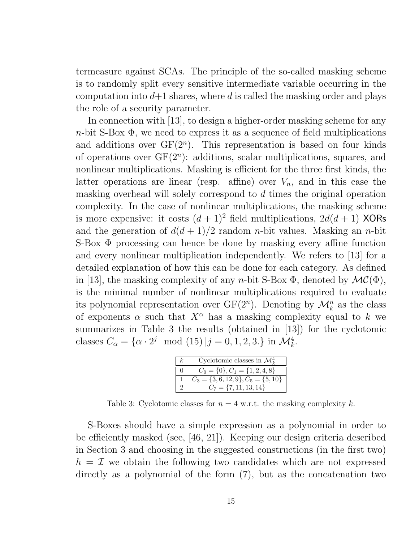termeasure against SCAs. The principle of the so-called masking scheme is to randomly split every sensitive intermediate variable occurring in the computation into  $d+1$  shares, where d is called the masking order and plays the role of a security parameter.

In connection with [13], to design a higher-order masking scheme for any  $n$ -bit S-Box  $\Phi$ , we need to express it as a sequence of field multiplications and additions over  $GF(2^n)$ . This representation is based on four kinds of operations over  $GF(2^n)$ : additions, scalar multiplications, squares, and nonlinear multiplications. Masking is efficient for the three first kinds, the latter operations are linear (resp. affine) over  $V_n$ , and in this case the masking overhead will solely correspond to d times the original operation complexity. In the case of nonlinear multiplications, the masking scheme is more expensive: it costs  $(d+1)^2$  field multiplications,  $2d(d+1)$  XORs and the generation of  $d(d+1)/2$  random *n*-bit values. Masking an *n*-bit S-Box Φ processing can hence be done by masking every affine function and every nonlinear multiplication independently. We refers to [13] for a detailed explanation of how this can be done for each category. As defined in [13], the masking complexity of any n-bit S-Box  $\Phi$ , denoted by  $\mathcal{MC}(\Phi)$ , is the minimal number of nonlinear multiplications required to evaluate its polynomial representation over  $GF(2^n)$ . Denoting by  $\mathcal{M}_k^n$  as the class of exponents  $\alpha$  such that  $X^{\alpha}$  has a masking complexity equal to k we summarizes in Table 3 the results (obtained in [13]) for the cyclotomic classes  $C_{\alpha} = {\alpha \cdot 2^{j} \mod (15) | j = 0, 1, 2, 3}$  in  $\mathcal{M}_{k}^{4}$ .

| k. | Cyclotomic classes in $\mathcal{M}_{k}^{4}$ |
|----|---------------------------------------------|
|    | $C_0 = \{0\}, C_1 = \{1, 2, 4, 8\}$         |
|    | $C_3 = \{3, 6, 12, 9\}, C_5 = \{5, 10\}$    |
|    | $C_7 = \{7, 11, 13, 14\}$                   |

Table 3: Cyclotomic classes for  $n = 4$  w.r.t. the masking complexity k.

S-Boxes should have a simple expression as a polynomial in order to be efficiently masked (see, [46, 21]). Keeping our design criteria described in Section 3 and choosing in the suggested constructions (in the first two)  $h = \mathcal{I}$  we obtain the following two candidates which are not expressed directly as a polynomial of the form (7), but as the concatenation two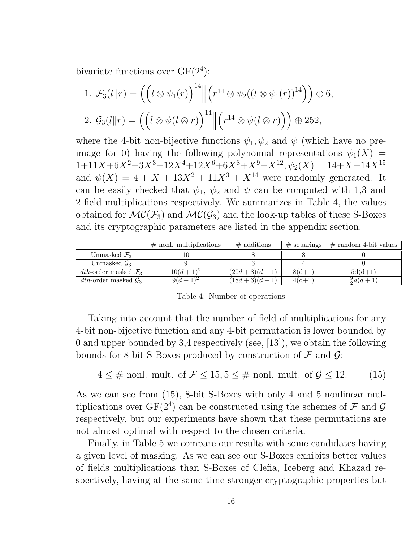bivariate functions over  $GF(2^4)$ :

1. 
$$
\mathcal{F}_3(l||r) = \left( \left( l \otimes \psi_1(r) \right)^{14} \middle\| \left( r^{14} \otimes \psi_2((l \otimes \psi_1(r))^{14}) \right) \oplus 6,
$$
  
2.  $\mathcal{G}_3(l||r) = \left( \left( l \otimes \psi(l \otimes r) \right)^{14} \middle\| \left( r^{14} \otimes \psi(l \otimes r) \right) \right) \oplus 252,$ 

where the 4-bit non-bijective functions  $\psi_1, \psi_2$  and  $\psi$  (which have no preimage for 0) having the following polynomial representations  $\psi_1(X)$  =  $1+11X+6X^2+3X^3+12X^4+12X^6+6X^8+X^9+X^{12}, \psi_2(X) = 14+X+14X^{15}$ and  $\psi(X) = 4 + X + 13X^2 + 11X^3 + X^{14}$  were randomly generated. It can be easily checked that  $\psi_1$ ,  $\psi_2$  and  $\psi$  can be computed with 1,3 and 2 field multiplications respectively. We summarizes in Table 4, the values obtained for  $MC(\mathcal{F}_3)$  and  $MC(\mathcal{G}_3)$  and the look-up tables of these S-Boxes and its cryptographic parameters are listed in the appendix section.

|                                  | $\#$ nonl. multiplications | $\#$ additions | $#$ squarings | $\#$ random 4-bit values |
|----------------------------------|----------------------------|----------------|---------------|--------------------------|
| Unmasked $\mathcal{F}_3$         |                            |                |               |                          |
| Unmasked $\mathcal{G}_3$         |                            |                |               |                          |
| dth-order masked $\mathcal{F}_3$ | $10(d+1)^2$                | $(20d+8)(d+1)$ | $8(d+1)$      | $5d(d+1)$                |
| dth-order masked $\mathcal{G}_3$ | $9(d+1)$                   | $(18d+3)(d+1)$ | $4(d+1)$      | $\frac{9}{2}d(d+1)$      |

Table 4: Number of operations

Taking into account that the number of field of multiplications for any 4-bit non-bijective function and any 4-bit permutation is lower bounded by 0 and upper bounded by 3,4 respectively (see, [13]), we obtain the following bounds for 8-bit S-Boxes produced by construction of  $\mathcal F$  and  $\mathcal G$ :

$$
4 \leq \text{# nonl. mult. of } \mathcal{F} \leq 15, 5 \leq \text{# nonl. mult. of } \mathcal{G} \leq 12. \tag{15}
$$

As we can see from (15), 8-bit S-Boxes with only 4 and 5 nonlinear multiplications over  $GF(2^4)$  can be constructed using the schemes of  $\mathcal F$  and  $\mathcal G$ respectively, but our experiments have shown that these permutations are not almost optimal with respect to the chosen criteria.

Finally, in Table 5 we compare our results with some candidates having a given level of masking. As we can see our S-Boxes exhibits better values of fields multiplications than S-Boxes of Clefia, Iceberg and Khazad respectively, having at the same time stronger cryptographic properties but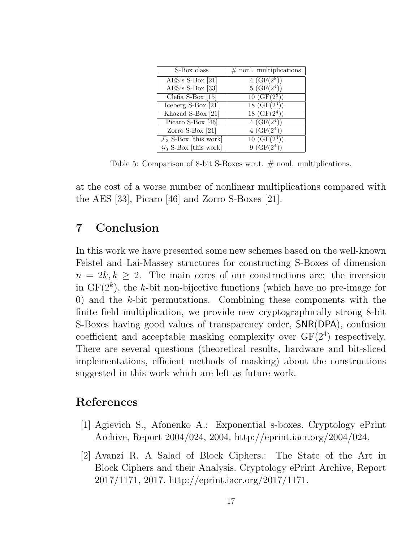| S-Box class                       | $#$ nonl. multiplications |
|-----------------------------------|---------------------------|
| $AES's S-Box [21]$                | $4(GF(2^8))$              |
| $AES's S-Box$ [33]                | $5(GF(2^4))$              |
| Clefia S-Box $[15]$               | $10~({\rm GF}(2^8))$      |
| Iceberg S-Box [21]                | $18(GF(2^4))$             |
| Khazad S-Box [21]                 | $18(GF(2^4))$             |
| Picaro S-Box [46]                 | $4(GF(2^4))$              |
| Zorro S-Box $[21]$                | $4(GF(2^4))$              |
| $\mathcal{F}_3$ S-Box [this work] | $10~(\text{GF}(2^4))$     |
| $\mathcal{G}_3$ S-Box [this work] | $9(GF(2^4))$              |

Table 5: Comparison of 8-bit S-Boxes w.r.t.  $\#$  nonl. multiplications.

at the cost of a worse number of nonlinear multiplications compared with the AES [33], Picaro [46] and Zorro S-Boxes [21].

## 7 Conclusion

In this work we have presented some new schemes based on the well-known Feistel and Lai-Massey structures for constructing S-Boxes of dimension  $n = 2k, k \geq 2$ . The main cores of our constructions are: the inversion in  $GF(2<sup>k</sup>)$ , the k-bit non-bijective functions (which have no pre-image for 0) and the k-bit permutations. Combining these components with the finite field multiplication, we provide new cryptographically strong 8-bit S-Boxes having good values of transparency order, SNR(DPA), confusion coefficient and acceptable masking complexity over  $GF(2<sup>4</sup>)$  respectively. There are several questions (theoretical results, hardware and bit-sliced implementations, efficient methods of masking) about the constructions suggested in this work which are left as future work.

### References

- [1] Agievich S., Afonenko A.: Exponential s-boxes. Cryptology ePrint Archive, Report 2004/024, 2004. http://eprint.iacr.org/2004/024.
- [2] Avanzi R. A Salad of Block Ciphers.: The State of the Art in Block Ciphers and their Analysis. Cryptology ePrint Archive, Report 2017/1171, 2017. http://eprint.iacr.org/2017/1171.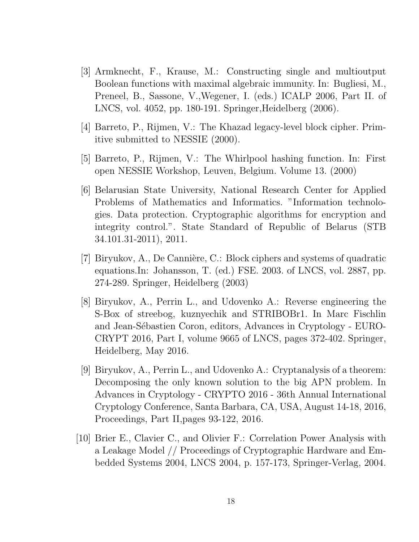- [3] Armknecht, F., Krause, M.: Constructing single and multioutput Boolean functions with maximal algebraic immunity. In: Bugliesi, M., Preneel, B., Sassone, V.,Wegener, I. (eds.) ICALP 2006, Part II. of LNCS, vol. 4052, pp. 180-191. Springer,Heidelberg (2006).
- [4] Barreto, P., Rijmen, V.: The Khazad legacy-level block cipher. Primitive submitted to NESSIE (2000).
- [5] Barreto, P., Rijmen, V.: The Whirlpool hashing function. In: First open NESSIE Workshop, Leuven, Belgium. Volume 13. (2000)
- [6] Belarusian State University, National Research Center for Applied Problems of Mathematics and Informatics. "Information technologies. Data protection. Cryptographic algorithms for encryption and integrity control.". State Standard of Republic of Belarus (STB 34.101.31-2011), 2011.
- [7] Biryukov, A., De Cannière, C.: Block ciphers and systems of quadratic equations.In: Johansson, T. (ed.) FSE. 2003. of LNCS, vol. 2887, pp. 274-289. Springer, Heidelberg (2003)
- [8] Biryukov, A., Perrin L., and Udovenko A.: Reverse engineering the S-Box of streebog, kuznyechik and STRIBOBr1. In Marc Fischlin and Jean-Sébastien Coron, editors, Advances in Cryptology - EURO-CRYPT 2016, Part I, volume 9665 of LNCS, pages 372-402. Springer, Heidelberg, May 2016.
- [9] Biryukov, A., Perrin L., and Udovenko A.: Cryptanalysis of a theorem: Decomposing the only known solution to the big APN problem. In Advances in Cryptology - CRYPTO 2016 - 36th Annual International Cryptology Conference, Santa Barbara, CA, USA, August 14-18, 2016, Proceedings, Part II,pages 93-122, 2016.
- [10] Brier E., Clavier C., and Olivier F.: Correlation Power Analysis with a Leakage Model // Proceedings of Cryptographic Hardware and Embedded Systems 2004, LNCS 2004, p. 157-173, Springer-Verlag, 2004.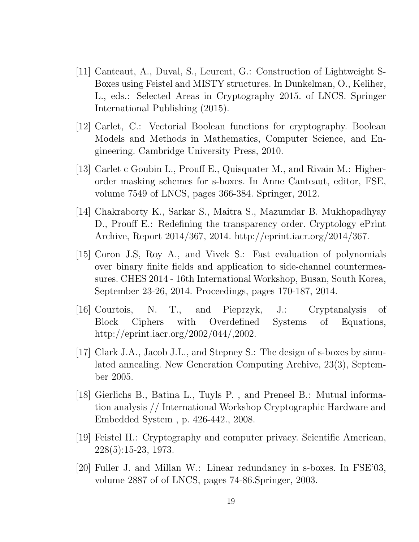- [11] Canteaut, A., Duval, S., Leurent, G.: Construction of Lightweight S-Boxes using Feistel and MISTY structures. In Dunkelman, O., Keliher, L., eds.: Selected Areas in Cryptography 2015. of LNCS. Springer International Publishing (2015).
- [12] Carlet, C.: Vectorial Boolean functions for cryptography. Boolean Models and Methods in Mathematics, Computer Science, and Engineering. Cambridge University Press, 2010.
- [13] Carlet c Goubin L., Prouff E., Quisquater M., and Rivain M.: Higherorder masking schemes for s-boxes. In Anne Canteaut, editor, FSE, volume 7549 of LNCS, pages 366-384. Springer, 2012.
- [14] Chakraborty K., Sarkar S., Maitra S., Mazumdar B. Mukhopadhyay D., Prouff E.: Redefining the transparency order. Cryptology ePrint Archive, Report 2014/367, 2014. http://eprint.iacr.org/2014/367.
- [15] Coron J.S, Roy A., and Vivek S.: Fast evaluation of polynomials over binary finite fields and application to side-channel countermeasures. CHES 2014 - 16th International Workshop, Busan, South Korea, September 23-26, 2014. Proceedings, pages 170-187, 2014.
- [16] Courtois, N. T., and Pieprzyk, J.: Cryptanalysis of Block Ciphers with Overdefined Systems of Equations, http://eprint.iacr.org/2002/044/,2002.
- [17] Clark J.A., Jacob J.L., and Stepney S.: The design of s-boxes by simulated annealing. New Generation Computing Archive, 23(3), September 2005.
- [18] Gierlichs B., Batina L., Tuyls P. , and Preneel B.: Mutual information analysis // International Workshop Cryptographic Hardware and Embedded System , p. 426-442., 2008.
- [19] Feistel H.: Cryptography and computer privacy. Scientific American, 228(5):15-23, 1973.
- [20] Fuller J. and Millan W.: Linear redundancy in s-boxes. In FSE'03, volume 2887 of of LNCS, pages 74-86.Springer, 2003.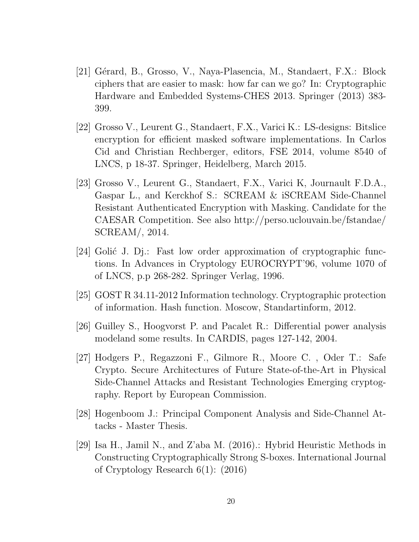- [21] Gérard, B., Grosso, V., Naya-Plasencia, M., Standaert, F.X.: Block ciphers that are easier to mask: how far can we go? In: Cryptographic Hardware and Embedded Systems-CHES 2013. Springer (2013) 383- 399.
- [22] Grosso V., Leurent G., Standaert, F.X., Varici K.: LS-designs: Bitslice encryption for efficient masked software implementations. In Carlos Cid and Christian Rechberger, editors, FSE 2014, volume 8540 of LNCS, p 18-37. Springer, Heidelberg, March 2015.
- [23] Grosso V., Leurent G., Standaert, F.X., Varici K, Journault F.D.A., Gaspar L., and Kerckhof S.: SCREAM & iSCREAM Side-Channel Resistant Authenticated Encryption with Masking. Candidate for the CAESAR Competition. See also http://perso.uclouvain.be/fstandae/ SCREAM/, 2014.
- [24] Golić J. Dj.: Fast low order approximation of cryptographic functions. In Advances in Cryptology EUROCRYPT'96, volume 1070 of of LNCS, p.p 268-282. Springer Verlag, 1996.
- [25] GOST R 34.11-2012 Information technology. Cryptographic protection of information. Hash function. Moscow, Standartinform, 2012.
- [26] Guilley S., Hoogvorst P. and Pacalet R.: Differential power analysis modeland some results. In CARDIS, pages 127-142, 2004.
- [27] Hodgers P., Regazzoni F., Gilmore R., Moore C. , Oder T.: Safe Crypto. Secure Architectures of Future State-of-the-Art in Physical Side-Channel Attacks and Resistant Technologies Emerging cryptography. Report by European Commission.
- [28] Hogenboom J.: Principal Component Analysis and Side-Channel Attacks - Master Thesis.
- [29] Isa H., Jamil N., and Z'aba M. (2016).: Hybrid Heuristic Methods in Constructing Cryptographically Strong S-boxes. International Journal of Cryptology Research 6(1): (2016)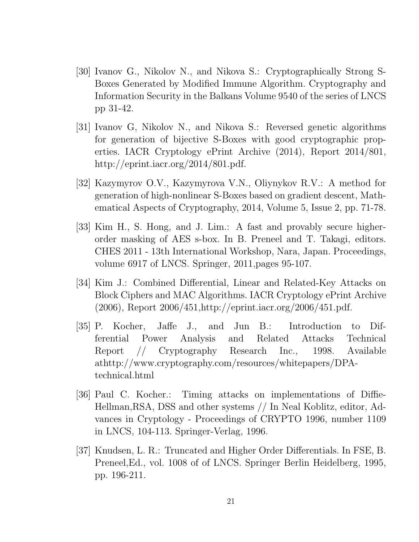- [30] Ivanov G., Nikolov N., and Nikova S.: Cryptographically Strong S-Boxes Generated by Modified Immune Algorithm. Cryptography and Information Security in the Balkans Volume 9540 of the series of LNCS pp 31-42.
- [31] Ivanov G, Nikolov N., and Nikova S.: Reversed genetic algorithms for generation of bijective S-Boxes with good cryptographic properties. IACR Cryptology ePrint Archive (2014), Report 2014/801, http://eprint.iacr.org/2014/801.pdf.
- [32] Kazymyrov O.V., Kazymyrova V.N., Oliynykov R.V.: A method for generation of high-nonlinear S-Boxes based on gradient descent, Mathematical Aspects of Cryptography, 2014, Volume 5, Issue 2, pp. 71-78.
- [33] Kim H., S. Hong, and J. Lim.: A fast and provably secure higherorder masking of AES s-box. In B. Preneel and T. Takagi, editors. CHES 2011 - 13th International Workshop, Nara, Japan. Proceedings, volume 6917 of LNCS. Springer, 2011,pages 95-107.
- [34] Kim J.: Combined Differential, Linear and Related-Key Attacks on Block Ciphers and MAC Algorithms. IACR Cryptology ePrint Archive (2006), Report 2006/451,http://eprint.iacr.org/2006/451.pdf.
- [35] P. Kocher, Jaffe J., and Jun B.: Introduction to Differential Power Analysis and Related Attacks Technical Report // Cryptography Research Inc., 1998. Available athttp://www.cryptography.com/resources/whitepapers/DPAtechnical.html
- [36] Paul C. Kocher.: Timing attacks on implementations of Diffie-Hellman,RSA, DSS and other systems // In Neal Koblitz, editor, Advances in Cryptology - Proceedings of CRYPTO 1996, number 1109 in LNCS, 104-113. Springer-Verlag, 1996.
- [37] Knudsen, L. R.: Truncated and Higher Order Differentials. In FSE, B. Preneel,Ed., vol. 1008 of of LNCS. Springer Berlin Heidelberg, 1995, pp. 196-211.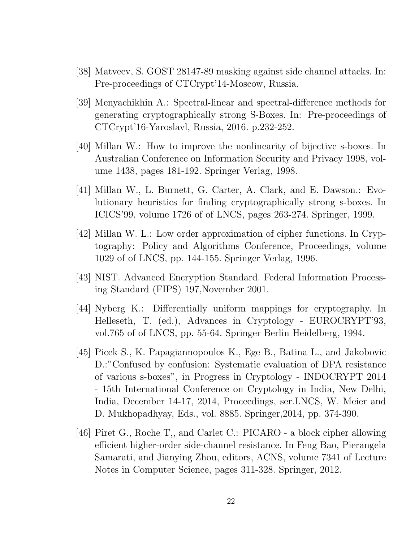- [38] Matveev, S. GOST 28147-89 masking against side channel attacks. In: Pre-proceedings of CTCrypt'14-Moscow, Russia.
- [39] Menyachikhin A.: Spectral-linear and spectral-difference methods for generating cryptographically strong S-Boxes. In: Pre-proceedings of CTCrypt'16-Yaroslavl, Russia, 2016. p.232-252.
- [40] Millan W.: How to improve the nonlinearity of bijective s-boxes. In Australian Conference on Information Security and Privacy 1998, volume 1438, pages 181-192. Springer Verlag, 1998.
- [41] Millan W., L. Burnett, G. Carter, A. Clark, and E. Dawson.: Evolutionary heuristics for finding cryptographically strong s-boxes. In ICICS'99, volume 1726 of of LNCS, pages 263-274. Springer, 1999.
- [42] Millan W. L.: Low order approximation of cipher functions. In Cryptography: Policy and Algorithms Conference, Proceedings, volume 1029 of of LNCS, pp. 144-155. Springer Verlag, 1996.
- [43] NIST. Advanced Encryption Standard. Federal Information Processing Standard (FIPS) 197,November 2001.
- [44] Nyberg K.: Differentially uniform mappings for cryptography. In Helleseth, T. (ed.), Advances in Cryptology - EUROCRYPT'93, vol.765 of of LNCS, pp. 55-64. Springer Berlin Heidelberg, 1994.
- [45] Picek S., K. Papagiannopoulos K., Ege B., Batina L., and Jakobovic D.:"Confused by confusion: Systematic evaluation of DPA resistance of various s-boxes", in Progress in Cryptology - INDOCRYPT 2014 - 15th International Conference on Cryptology in India, New Delhi, India, December 14-17, 2014, Proceedings, ser.LNCS, W. Meier and D. Mukhopadhyay, Eds., vol. 8885. Springer,2014, pp. 374-390.
- [46] Piret G., Roche T,, and Carlet C.: PICARO a block cipher allowing efficient higher-order side-channel resistance. In Feng Bao, Pierangela Samarati, and Jianying Zhou, editors, ACNS, volume 7341 of Lecture Notes in Computer Science, pages 311-328. Springer, 2012.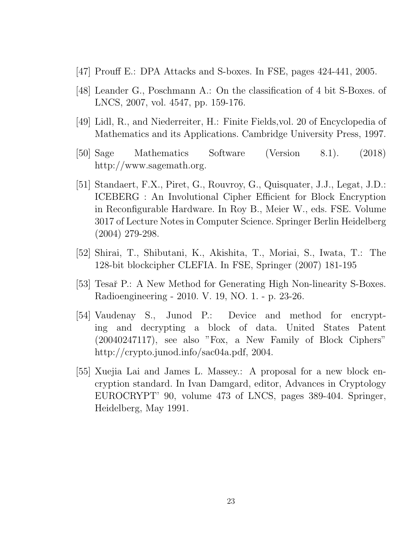- [47] Prouff E.: DPA Attacks and S-boxes. In FSE, pages 424-441, 2005.
- [48] Leander G., Poschmann A.: On the classification of 4 bit S-Boxes. of LNCS, 2007, vol. 4547, pp. 159-176.
- [49] Lidl, R., and Niederreiter, H.: Finite Fields,vol. 20 of Encyclopedia of Mathematics and its Applications. Cambridge University Press, 1997.
- [50] Sage Mathematics Software (Version 8.1). (2018) http://www.sagemath.org.
- [51] Standaert, F.X., Piret, G., Rouvroy, G., Quisquater, J.J., Legat, J.D.: ICEBERG : An Involutional Cipher Efficient for Block Encryption in Reconfigurable Hardware. In Roy B., Meier W., eds. FSE. Volume 3017 of Lecture Notes in Computer Science. Springer Berlin Heidelberg (2004) 279-298.
- [52] Shirai, T., Shibutani, K., Akishita, T., Moriai, S., Iwata, T.: The 128-bit blockcipher CLEFIA. In FSE, Springer (2007) 181-195
- [53] Tesař P.: A New Method for Generating High Non-linearity S-Boxes. Radioengineering - 2010. V. 19, NO. 1. - p. 23-26.
- [54] Vaudenay S., Junod P.: Device and method for encrypting and decrypting a block of data. United States Patent (20040247117), see also "Fox, a New Family of Block Ciphers" http://crypto.junod.info/sac04a.pdf, 2004.
- [55] Xuejia Lai and James L. Massey.: A proposal for a new block encryption standard. In Ivan Damgard, editor, Advances in Cryptology EUROCRYPT' 90, volume 473 of LNCS, pages 389-404. Springer, Heidelberg, May 1991.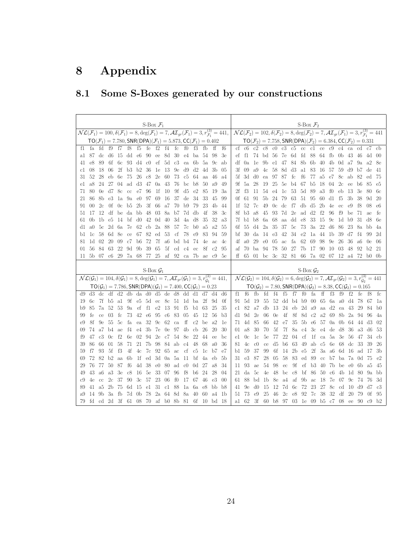# 8 Appendix

## 8.1 Some S-Boxes generated by our constructions

| S-Box $\mathcal{F}_1$                                                                                                                                                                                                                                            | S-Box $\mathcal{F}_2$                                                                                                                                                                                                                                                |
|------------------------------------------------------------------------------------------------------------------------------------------------------------------------------------------------------------------------------------------------------------------|----------------------------------------------------------------------------------------------------------------------------------------------------------------------------------------------------------------------------------------------------------------------|
| $\mathcal{NL}(\mathcal{F}_1) = 100, \delta(\mathcal{F}_1) = 8, \deg(\mathcal{F}_1) = 7, \mathcal{AI}_{gr}(\mathcal{F}_1) = 3, r_{\mathcal{F}_1}^{(3)} = 441,$                                                                                                    | $\mathcal{NL}(\mathcal{F}_2) = 102, \delta(\mathcal{F}_2) = 8, \deg(\mathcal{F}_2) = 7, \mathcal{AI}_{gr}(\mathcal{F}_1) = 3, r_{\mathcal{F}_1}^{(3)} = 441$                                                                                                         |
| $TO(\mathcal{F}_1) = 7.780$ , SNR(DPA)( $\mathcal{F}_1$ ) = 5.873, CC( $\mathcal{F}_1$ ) = 0.402                                                                                                                                                                 | $TO(\mathcal{F}_2) = 7.758$ , SNR(DPA)( $\mathcal{F}_2$ ) = 6.384, CC( $\mathcal{F}_2$ ) = 0.331                                                                                                                                                                     |
| fe $f2$ $f4$<br>fc<br>f7<br>f8<br>$-f5$<br>f(<br>f3<br>fa<br>fd<br>f9<br>- fb<br>ff<br>f6                                                                                                                                                                        | c3 c5 cc c1 ce c9 c4 ca<br>$_{\rm c0}$<br>c2<br>c8<br>cd<br>c7<br>$cf$ $c6$<br>cb                                                                                                                                                                                    |
| 87 dc d6 15 dd e6 90 ee 8d 30 e4 ba 54<br>-98<br>3e                                                                                                                                                                                                              | ef f1 74 bd 56 7e 6d fd 88 64 fb 0b 43 46<br>4d 00                                                                                                                                                                                                                   |
| 6f 6c 93 d4 c0 ef 5d<br>c3<br>ea 6b 5a<br>e8<br>-89<br>9с<br>ab                                                                                                                                                                                                  | 9b e1 47 84 8b 6b 40 4b 0d a7 9a a2<br>- 1e<br>df 0a<br>-8е                                                                                                                                                                                                          |
| 2f<br>b3 b2 36 1e 13<br>$9e$ d $9d2$<br>08<br>18<br>06<br>- 4d<br>3 <sub>b</sub><br>0 <sub>5</sub>                                                                                                                                                               | 4c 58 8d d3 a1 83<br>16 57<br>59<br>3f<br>09<br>a9<br>d9<br>b7<br>de<br>-41                                                                                                                                                                                          |
| 26 c8<br>2e 60<br>73 c5<br>eb 6e<br>- 75<br>-64<br>52<br>28<br>aa<br>-46<br>a4                                                                                                                                                                                   | 77 a5 e7<br>ea 97 87 fc<br>- f6<br>8c ab<br>5f.<br>$3d$ d $0$<br>82<br>ed<br>75                                                                                                                                                                                      |
| 27 04 ad d3 47 0a 43<br>-50<br>a8<br>24<br>76 bc<br>b8<br>a9<br>49                                                                                                                                                                                               | 25 5e b4 67 b5 18 04<br>$2c$ ee<br>5a<br>19<br>b6<br>9f.<br>28<br>85<br>e5                                                                                                                                                                                           |
| 80<br>0e d7 8c cc e7 96<br>- 1f<br>- 10<br>$9f \, d5$<br>85<br>e2<br>19<br>3a                                                                                                                                                                                    | e4 1c 53 5d 89<br>a3<br>fO<br>2f<br>fЗ<br>11<br>54<br>eb<br>- 13<br>3e<br>80<br>-6с                                                                                                                                                                                  |
| 8b e3 1a 9a e0 97 69 16<br>37 de 34<br>33<br>- 86<br>-45<br>99                                                                                                                                                                                                   | 5b 24 79 63<br>51 95<br>60 d1 f5<br>3b<br>0f 61<br>91<br>-38<br>-9d<br>-20                                                                                                                                                                                           |
| 0f 0c b5 2b 3f 66 a7 70 b9<br>- 79<br>23<br>- 00<br>2c<br>4b<br>-44                                                                                                                                                                                              | 49 0c dc f7 db d5 2b 4e ec e9<br>1f 52<br>- 7с<br>f8<br>08<br>e6                                                                                                                                                                                                     |
| 17 12 df be da bb 48 03 8a<br>7d db<br>4f<br>b7<br>-38<br>3c                                                                                                                                                                                                     | 45 93 7d 2e ad d2 f2 96<br>f9<br>8f b3 a8<br>be<br>71<br>fe<br>ae                                                                                                                                                                                                    |
| $d0$ 42 0d 40<br>3d<br>1b e5<br>- 14<br>bf<br>4a<br>d8<br>-35<br>32<br>- 0b<br>a3                                                                                                                                                                                | 33<br>aa dd e8<br>-15<br>9c<br>6a 68<br>1d b9<br>7f b1 b8<br>-31<br>d8<br>-6e                                                                                                                                                                                        |
| 2d 6a 7e 62 cb 2a 88<br>57<br>7c<br>a5<br>5c<br>b0<br>a2<br>55<br>- a0                                                                                                                                                                                           | 3a 22 d6<br>2a 35<br>37 5c 73<br>- 86<br>d4<br>23<br>8a<br>bb<br>6f.<br>55<br>4a                                                                                                                                                                                     |
| 8e<br>67 82 ed 53<br>cf<br>78<br>e9<br>83<br>- 1c<br>-58<br>6d -<br>ce<br>94<br>59                                                                                                                                                                               | e3 42<br>$34$ $e2$<br>1a<br>44 1b<br>-39<br>-14<br>bf<br>30<br>da<br>d7<br>f4<br>99<br>2d                                                                                                                                                                            |
| 20 09 c7<br>b6 72 7f a6<br>-74<br>4e<br>bd b4<br>ac<br>81 1d 02<br>4c                                                                                                                                                                                            | fa<br>62 69<br>98 9e 26<br>a0<br>29<br>$e0$ 05 ac<br>36<br>4f.<br>a6<br>0e<br>- 06                                                                                                                                                                                   |
| 84 63 22 9d 9b 39 65<br>-5f<br>8f<br>01 56<br>cd c4<br>c2<br>95<br>ec                                                                                                                                                                                            | af 70 ba 94 78<br>- 50<br>27 7b 17 90 10 03<br>-48<br>92 b2 21                                                                                                                                                                                                       |
| 11 5b 07 c6 29 7a 68 77 25 af 92 ca 7b<br>ae c9 5e                                                                                                                                                                                                               | ff 65 01 bc 3c 32 81 66 7a 02 07 12 a4<br>72 b0 0b                                                                                                                                                                                                                   |
|                                                                                                                                                                                                                                                                  |                                                                                                                                                                                                                                                                      |
|                                                                                                                                                                                                                                                                  |                                                                                                                                                                                                                                                                      |
| S-Box $\mathcal{G}_1$                                                                                                                                                                                                                                            | S-Box $\mathcal{G}_2$                                                                                                                                                                                                                                                |
| $\mathcal{NL}(\mathcal{G}_1) = 104, \delta(\mathcal{G}_1) = 8, \deg(\mathcal{G}_1) = 7, \mathcal{AI}_{gr}(\mathcal{G}_1) = 3, r_{\mathcal{G}_1}^{(3)} = 441,$<br>$TO(\mathcal{G}_1) = 7.786$ , SNR(DPA)( $\mathcal{G}_1$ ) = 7.400, CC( $\mathcal{G}_1$ ) = 0.23 | $\mathcal{NL}(\mathcal{G}_2)=104, \delta(\mathcal{G}_2)=\overline{6, \text{deg}(\mathcal{G}_2)=7, \mathcal{AI}_{gr}(\mathcal{G}_2)=3, r^{(3)}_{\mathcal{G}_2}=441$<br>$TO(\mathcal{G}_2) = 7.80$ , SNR(DPA)( $\mathcal{G}_2$ ) = 8.38, CC( $\mathcal{G}_2$ ) = 0.165 |
| $d2$ db da $d0$ d5 de $d8$ dd $d1$ d7<br>$d9$ $d3$ $d$<br>df<br>d4<br>d6                                                                                                                                                                                         | fa<br>f0<br>$\mathbf{f}$<br>$f3 \quad f9$<br>fb<br>fd<br>f4<br>f5<br>f7<br>f2<br>fe<br>f8<br>$_{\rm fc}$<br>f1<br>f6                                                                                                                                                 |
| 7f b5 a1 9f e5 5d ec 8c 51 1d ba<br>- 6с<br>-2f<br>9d<br>0f<br>19                                                                                                                                                                                                | 55 52 dd b4 b9 00 65 6a a0 d4<br>5d 19<br>78<br>91.<br>-67<br>1a                                                                                                                                                                                                     |
| ef f1 e2 13 91<br>7a<br>52 53<br><b>9a</b><br>f5<br>63<br>35<br>-85<br>b1<br>25                                                                                                                                                                                  | $24$ eb $2d$ a $9$ aa d $2$ ea<br>82 a7 db<br>- 13<br>-43<br>29<br>-84<br>c1.<br>b0                                                                                                                                                                                  |
| 73 42 e6 95 c6 83 05<br>fe<br>$03 \text{fc}$<br>45<br>- 12<br>56<br>99<br>ce<br>b3                                                                                                                                                                               | 4f 8f 8d c2 a2 69 8b<br>9d<br>2e<br>06<br>0e<br>2a<br>94<br>d1<br>-96<br>4a                                                                                                                                                                                          |
| ea 32 9c 62 ca<br>ff<br>55 5c<br>fa<br>c2 be<br>a2<br>8f<br>9е<br>-le                                                                                                                                                                                            | 42 e7 35 5b e6 57 0a 0b 64 44 d3<br>-02<br>71.<br>4d 85<br>-66                                                                                                                                                                                                       |
| e4 3b 7e 0e 97 4b cb 26<br>f4<br>30<br>74<br>a7 b4 ae<br>20                                                                                                                                                                                                      | 7f 8a c4 3c e4 de d8 36<br>5f<br>a8<br>-30<br>70<br>a3 d6<br>-53<br>01                                                                                                                                                                                               |
| f2<br>6e<br>02 94 2e c7 54<br>8e<br>22<br>47<br>c3<br>44<br>0 <sub>c</sub><br>ee<br>bc                                                                                                                                                                           | 22<br>cf<br>1f ca 5a 3e<br>5e<br>77<br>04<br>-56<br>47<br>-34<br>0 <sub>c</sub><br>1c<br>cb<br>e1                                                                                                                                                                    |
| 21 7b 98 84 ab<br>58<br>71<br>48<br>-68<br>-86<br>-66<br>01<br>c4<br>a0<br>36<br>39                                                                                                                                                                              | 63 49 ab c5<br>d5<br><b>b6</b><br>6e 68<br>de<br>33<br>39<br>4c<br>$_{\rm c0}$<br>-26<br>81<br>ce                                                                                                                                                                    |
| 5f<br>f3<br>4f<br>4c 7c 92 65 ac<br>$cf$ $c5$<br>1c<br>f7<br>93<br>b7<br>59<br>-e7                                                                                                                                                                               | $2b$ $e5$<br>$2f$ 3a a6 6d<br>6f<br>14<br>3 <sub>b</sub><br>59<br>37<br>-99<br>- 16<br>ad<br>-17<br>b1.                                                                                                                                                              |
| b2 aa<br>6b<br>$1f$ ed $3d$ $0a$ $5a$<br>72<br>82<br>- 11<br>bf<br>4a<br>5 <sub>b</sub><br>69<br>eb                                                                                                                                                              | 83<br>05<br>58<br>ed<br>89 cc b7 ba<br>28<br>- 7a<br>e2<br>e3<br>87<br>0d<br>75                                                                                                                                                                                      |
| 4d 38 e0 80 ad c0<br>77<br>50 87<br>f6<br>0d 27<br>76<br>a8<br>34                                                                                                                                                                                                | 9f<br>$ef$ b3 40 7b be<br>54 98 ec<br>ae<br>e0<br>- 6b<br>-a5<br>11.<br>-93<br>-45                                                                                                                                                                                   |
| 16 5e 33 07 96<br>c8<br>f8<br>43<br>a3 3e<br>b <sub>6</sub><br>24<br>28<br>49<br>a6<br>04                                                                                                                                                                        | 48 bc c8 bf 86 50 c6 4b<br>1d 80<br>da 5c<br>4e<br>9a<br>bb                                                                                                                                                                                                          |
| 3c 57 23 06<br>$f_{0}$<br>90<br>17<br>-67<br>46<br>$_{\rm e3}$<br>2c 37<br>00<br>4e<br>cc                                                                                                                                                                        | $-9b$<br>-18<br>af<br><b>7e</b><br>88<br>-1b<br>- 8e<br>a4<br>ac<br>-07<br>9c<br>74<br>3d<br>61<br>bd<br>76                                                                                                                                                          |
| 15 e1 31 c1 88<br>a5<br>2b 75<br>6d<br>1a<br>6a<br>e8<br>41<br><sub>b</sub><br>b8                                                                                                                                                                                | 72<br>23<br>27<br><b>8c</b><br>9e<br>d0<br>-15<br>12<br>7d 6c<br>d9<br>41<br>cd<br>10<br>d7<br>c3                                                                                                                                                                    |
| 7d 0b 78 2a 64 8d 8a 40 60<br>3a fb<br>14 9b<br>a4<br>1b<br>fd cd 2d 3f 61 08 70 af b0 8b 81 6f 10                                                                                                                                                               | 7c 38<br>32<br>-46<br>$2c \quad e8$<br>92<br>df<br>20<br>73<br>e9<br>25<br>79<br>0f<br>95<br>51.                                                                                                                                                                     |